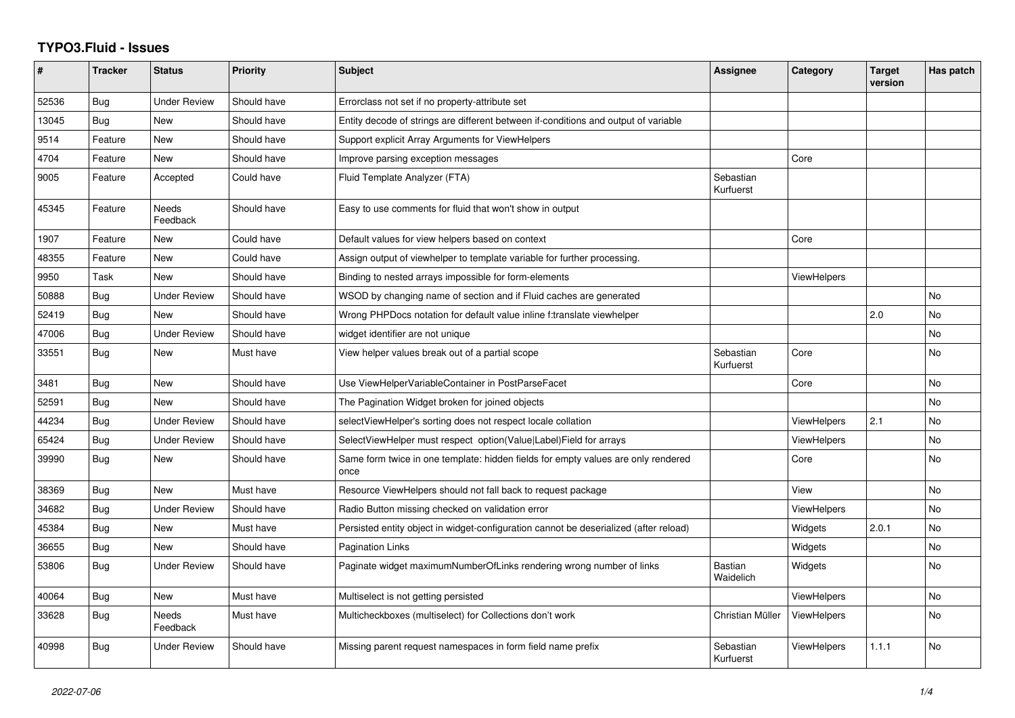## **TYPO3.Fluid - Issues**

| #     | <b>Tracker</b> | <b>Status</b>       | <b>Priority</b> | <b>Subject</b>                                                                            | Assignee                    | Category           | <b>Target</b><br>version | Has patch      |
|-------|----------------|---------------------|-----------------|-------------------------------------------------------------------------------------------|-----------------------------|--------------------|--------------------------|----------------|
| 52536 | Bug            | <b>Under Review</b> | Should have     | Errorclass not set if no property-attribute set                                           |                             |                    |                          |                |
| 13045 | Bug            | New                 | Should have     | Entity decode of strings are different between if-conditions and output of variable       |                             |                    |                          |                |
| 9514  | Feature        | New                 | Should have     | Support explicit Array Arguments for ViewHelpers                                          |                             |                    |                          |                |
| 4704  | Feature        | New                 | Should have     | Improve parsing exception messages                                                        |                             | Core               |                          |                |
| 9005  | Feature        | Accepted            | Could have      | Fluid Template Analyzer (FTA)                                                             | Sebastian<br>Kurfuerst      |                    |                          |                |
| 45345 | Feature        | Needs<br>Feedback   | Should have     | Easy to use comments for fluid that won't show in output                                  |                             |                    |                          |                |
| 1907  | Feature        | New                 | Could have      | Default values for view helpers based on context                                          |                             | Core               |                          |                |
| 48355 | Feature        | New                 | Could have      | Assign output of viewhelper to template variable for further processing.                  |                             |                    |                          |                |
| 9950  | Task           | <b>New</b>          | Should have     | Binding to nested arrays impossible for form-elements                                     |                             | <b>ViewHelpers</b> |                          |                |
| 50888 | Bug            | <b>Under Review</b> | Should have     | WSOD by changing name of section and if Fluid caches are generated                        |                             |                    |                          | <b>No</b>      |
| 52419 | Bug            | New                 | Should have     | Wrong PHPDocs notation for default value inline f:translate viewhelper                    |                             |                    | 2.0                      | No             |
| 47006 | <b>Bug</b>     | <b>Under Review</b> | Should have     | widget identifier are not unique                                                          |                             |                    |                          | N <sub>o</sub> |
| 33551 | Bug            | New                 | Must have       | View helper values break out of a partial scope                                           | Sebastian<br>Kurfuerst      | Core               |                          | No             |
| 3481  | Bug            | New                 | Should have     | Use ViewHelperVariableContainer in PostParseFacet                                         |                             | Core               |                          | No             |
| 52591 | Bug            | New                 | Should have     | The Pagination Widget broken for joined objects                                           |                             |                    |                          | <b>No</b>      |
| 44234 | <b>Bug</b>     | <b>Under Review</b> | Should have     | selectViewHelper's sorting does not respect locale collation                              |                             | <b>ViewHelpers</b> | 2.1                      | No             |
| 65424 | Bug            | <b>Under Review</b> | Should have     | SelectViewHelper must respect option(Value Label)Field for arrays                         |                             | <b>ViewHelpers</b> |                          | <b>No</b>      |
| 39990 | Bug            | New                 | Should have     | Same form twice in one template: hidden fields for empty values are only rendered<br>once |                             | Core               |                          | <b>No</b>      |
| 38369 | Bug            | New                 | Must have       | Resource ViewHelpers should not fall back to request package                              |                             | View               |                          | <b>No</b>      |
| 34682 | Bug            | <b>Under Review</b> | Should have     | Radio Button missing checked on validation error                                          |                             | ViewHelpers        |                          | <b>No</b>      |
| 45384 | Bug            | New                 | Must have       | Persisted entity object in widget-configuration cannot be deserialized (after reload)     |                             | Widgets            | 2.0.1                    | No             |
| 36655 | <b>Bug</b>     | New                 | Should have     | <b>Pagination Links</b>                                                                   |                             | Widgets            |                          | <b>No</b>      |
| 53806 | <b>Bug</b>     | Under Review        | Should have     | Paginate widget maximumNumberOfLinks rendering wrong number of links                      | <b>Bastian</b><br>Waidelich | Widgets            |                          | <b>No</b>      |
| 40064 | Bug            | New                 | Must have       | Multiselect is not getting persisted                                                      |                             | ViewHelpers        |                          | <b>No</b>      |
| 33628 | Bug            | Needs<br>Feedback   | Must have       | Multicheckboxes (multiselect) for Collections don't work                                  | Christian Müller            | <b>ViewHelpers</b> |                          | <b>No</b>      |
| 40998 | <b>Bug</b>     | <b>Under Review</b> | Should have     | Missing parent request namespaces in form field name prefix                               | Sebastian<br>Kurfuerst      | <b>ViewHelpers</b> | 1.1.1                    | <b>No</b>      |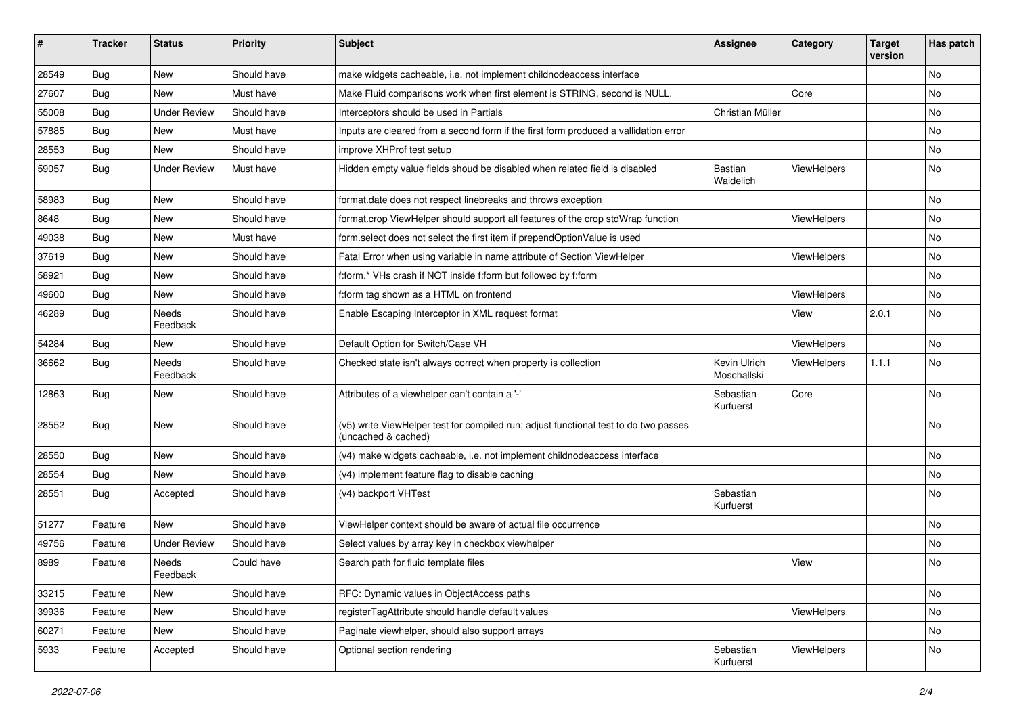| #     | <b>Tracker</b> | <b>Status</b>       | <b>Priority</b> | <b>Subject</b>                                                                                              | <b>Assignee</b>             | Category    | <b>Target</b><br>version | Has patch |
|-------|----------------|---------------------|-----------------|-------------------------------------------------------------------------------------------------------------|-----------------------------|-------------|--------------------------|-----------|
| 28549 | Bug            | New                 | Should have     | make widgets cacheable, i.e. not implement childnodeaccess interface                                        |                             |             |                          | <b>No</b> |
| 27607 | Bug            | New                 | Must have       | Make Fluid comparisons work when first element is STRING, second is NULL.                                   |                             | Core        |                          | No        |
| 55008 | Bug            | <b>Under Review</b> | Should have     | Interceptors should be used in Partials                                                                     | Christian Müller            |             |                          | No        |
| 57885 | Bug            | New                 | Must have       | Inputs are cleared from a second form if the first form produced a vallidation error                        |                             |             |                          | No        |
| 28553 | Bug            | New                 | Should have     | improve XHProf test setup                                                                                   |                             |             |                          | No        |
| 59057 | Bug            | <b>Under Review</b> | Must have       | Hidden empty value fields shoud be disabled when related field is disabled                                  | Bastian<br>Waidelich        | ViewHelpers |                          | No        |
| 58983 | Bug            | <b>New</b>          | Should have     | format.date does not respect linebreaks and throws exception                                                |                             |             |                          | <b>No</b> |
| 8648  | Bug            | New                 | Should have     | format.crop ViewHelper should support all features of the crop stdWrap function                             |                             | ViewHelpers |                          | No        |
| 49038 | Bug            | New                 | Must have       | form.select does not select the first item if prependOptionValue is used                                    |                             |             |                          | No        |
| 37619 | Bug            | New                 | Should have     | Fatal Error when using variable in name attribute of Section ViewHelper                                     |                             | ViewHelpers |                          | No        |
| 58921 | Bug            | New                 | Should have     | f:form.* VHs crash if NOT inside f:form but followed by f:form                                              |                             |             |                          | No        |
| 49600 | Bug            | New                 | Should have     | f:form tag shown as a HTML on frontend                                                                      |                             | ViewHelpers |                          | No        |
| 46289 | Bug            | Needs<br>Feedback   | Should have     | Enable Escaping Interceptor in XML request format                                                           |                             | View        | 2.0.1                    | No        |
| 54284 | Bug            | New                 | Should have     | Default Option for Switch/Case VH                                                                           |                             | ViewHelpers |                          | No        |
| 36662 | Bug            | Needs<br>Feedback   | Should have     | Checked state isn't always correct when property is collection                                              | Kevin Ulrich<br>Moschallski | ViewHelpers | 1.1.1                    | <b>No</b> |
| 12863 | Bug            | New                 | Should have     | Attributes of a viewhelper can't contain a '-'                                                              | Sebastian<br>Kurfuerst      | Core        |                          | No        |
| 28552 | Bug            | New                 | Should have     | (v5) write ViewHelper test for compiled run; adjust functional test to do two passes<br>(uncached & cached) |                             |             |                          | <b>No</b> |
| 28550 | Bug            | New                 | Should have     | (v4) make widgets cacheable, i.e. not implement childnodeaccess interface                                   |                             |             |                          | No        |
| 28554 | Bug            | New                 | Should have     | (v4) implement feature flag to disable caching                                                              |                             |             |                          | No        |
| 28551 | Bug            | Accepted            | Should have     | (v4) backport VHTest                                                                                        | Sebastian<br>Kurfuerst      |             |                          | No        |
| 51277 | Feature        | New                 | Should have     | ViewHelper context should be aware of actual file occurrence                                                |                             |             |                          | No        |
| 49756 | Feature        | <b>Under Review</b> | Should have     | Select values by array key in checkbox viewhelper                                                           |                             |             |                          | No        |
| 8989  | Feature        | Needs<br>Feedback   | Could have      | Search path for fluid template files                                                                        |                             | View        |                          | No        |
| 33215 | Feature        | New                 | Should have     | RFC: Dynamic values in ObjectAccess paths                                                                   |                             |             |                          | No        |
| 39936 | Feature        | New                 | Should have     | registerTagAttribute should handle default values                                                           |                             | ViewHelpers |                          | No        |
| 60271 | Feature        | New                 | Should have     | Paginate viewhelper, should also support arrays                                                             |                             |             |                          | No        |
| 5933  | Feature        | Accepted            | Should have     | Optional section rendering                                                                                  | Sebastian<br>Kurfuerst      | ViewHelpers |                          | No        |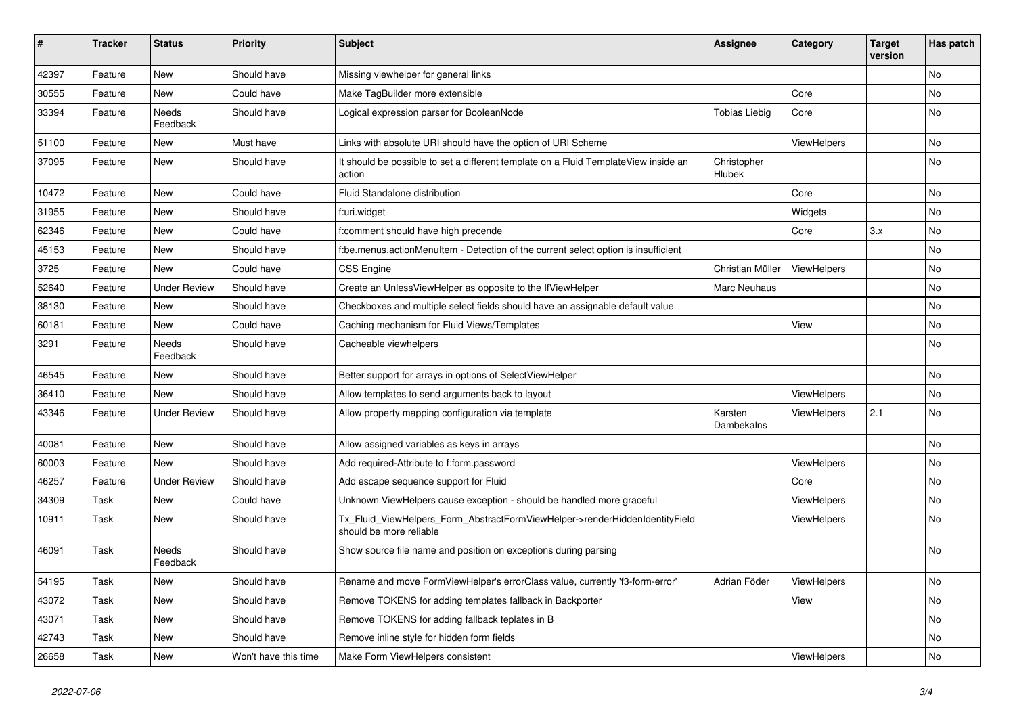| #     | <b>Tracker</b> | <b>Status</b>       | <b>Priority</b>      | <b>Subject</b>                                                                                         | <b>Assignee</b>       | Category    | <b>Target</b><br>version | Has patch |
|-------|----------------|---------------------|----------------------|--------------------------------------------------------------------------------------------------------|-----------------------|-------------|--------------------------|-----------|
| 42397 | Feature        | New                 | Should have          | Missing viewhelper for general links                                                                   |                       |             |                          | <b>No</b> |
| 30555 | Feature        | New                 | Could have           | Make TagBuilder more extensible                                                                        |                       | Core        |                          | No        |
| 33394 | Feature        | Needs<br>Feedback   | Should have          | Logical expression parser for BooleanNode                                                              | <b>Tobias Liebig</b>  | Core        |                          | No        |
| 51100 | Feature        | New                 | Must have            | Links with absolute URI should have the option of URI Scheme                                           |                       | ViewHelpers |                          | <b>No</b> |
| 37095 | Feature        | New                 | Should have          | It should be possible to set a different template on a Fluid TemplateView inside an<br>action          | Christopher<br>Hlubek |             |                          | No        |
| 10472 | Feature        | <b>New</b>          | Could have           | Fluid Standalone distribution                                                                          |                       | Core        |                          | No        |
| 31955 | Feature        | New                 | Should have          | f:uri.widget                                                                                           |                       | Widgets     |                          | No        |
| 62346 | Feature        | New                 | Could have           | f:comment should have high precende                                                                    |                       | Core        | 3.x                      | No        |
| 45153 | Feature        | New                 | Should have          | f:be.menus.actionMenuItem - Detection of the current select option is insufficient                     |                       |             |                          | No        |
| 3725  | Feature        | <b>New</b>          | Could have           | <b>CSS Engine</b>                                                                                      | Christian Müller      | ViewHelpers |                          | No        |
| 52640 | Feature        | <b>Under Review</b> | Should have          | Create an UnlessViewHelper as opposite to the IfViewHelper                                             | Marc Neuhaus          |             |                          | No        |
| 38130 | Feature        | New                 | Should have          | Checkboxes and multiple select fields should have an assignable default value                          |                       |             |                          | No        |
| 60181 | Feature        | New                 | Could have           | Caching mechanism for Fluid Views/Templates                                                            |                       | View        |                          | No        |
| 3291  | Feature        | Needs<br>Feedback   | Should have          | Cacheable viewhelpers                                                                                  |                       |             |                          | No        |
| 46545 | Feature        | New                 | Should have          | Better support for arrays in options of SelectViewHelper                                               |                       |             |                          | No        |
| 36410 | Feature        | <b>New</b>          | Should have          | Allow templates to send arguments back to layout                                                       |                       | ViewHelpers |                          | No        |
| 43346 | Feature        | <b>Under Review</b> | Should have          | Allow property mapping configuration via template                                                      | Karsten<br>Dambekalns | ViewHelpers | 2.1                      | No        |
| 40081 | Feature        | New                 | Should have          | Allow assigned variables as keys in arrays                                                             |                       |             |                          | No        |
| 60003 | Feature        | New                 | Should have          | Add required-Attribute to f:form.password                                                              |                       | ViewHelpers |                          | No        |
| 46257 | Feature        | <b>Under Review</b> | Should have          | Add escape sequence support for Fluid                                                                  |                       | Core        |                          | No        |
| 34309 | Task           | New                 | Could have           | Unknown ViewHelpers cause exception - should be handled more graceful                                  |                       | ViewHelpers |                          | No        |
| 10911 | Task           | New                 | Should have          | Tx Fluid ViewHelpers Form AbstractFormViewHelper->renderHiddenIdentityField<br>should be more reliable |                       | ViewHelpers |                          | <b>No</b> |
| 46091 | Task           | Needs<br>Feedback   | Should have          | Show source file name and position on exceptions during parsing                                        |                       |             |                          | No        |
| 54195 | Task           | New                 | Should have          | Rename and move FormViewHelper's errorClass value, currently 'f3-form-error'                           | Adrian Föder          | ViewHelpers |                          | No        |
| 43072 | Task           | New                 | Should have          | Remove TOKENS for adding templates fallback in Backporter                                              |                       | View        |                          | No        |
| 43071 | Task           | New                 | Should have          | Remove TOKENS for adding fallback teplates in B                                                        |                       |             |                          | No        |
| 42743 | Task           | New                 | Should have          | Remove inline style for hidden form fields                                                             |                       |             |                          | No        |
| 26658 | Task           | New                 | Won't have this time | Make Form ViewHelpers consistent                                                                       |                       | ViewHelpers |                          | No        |